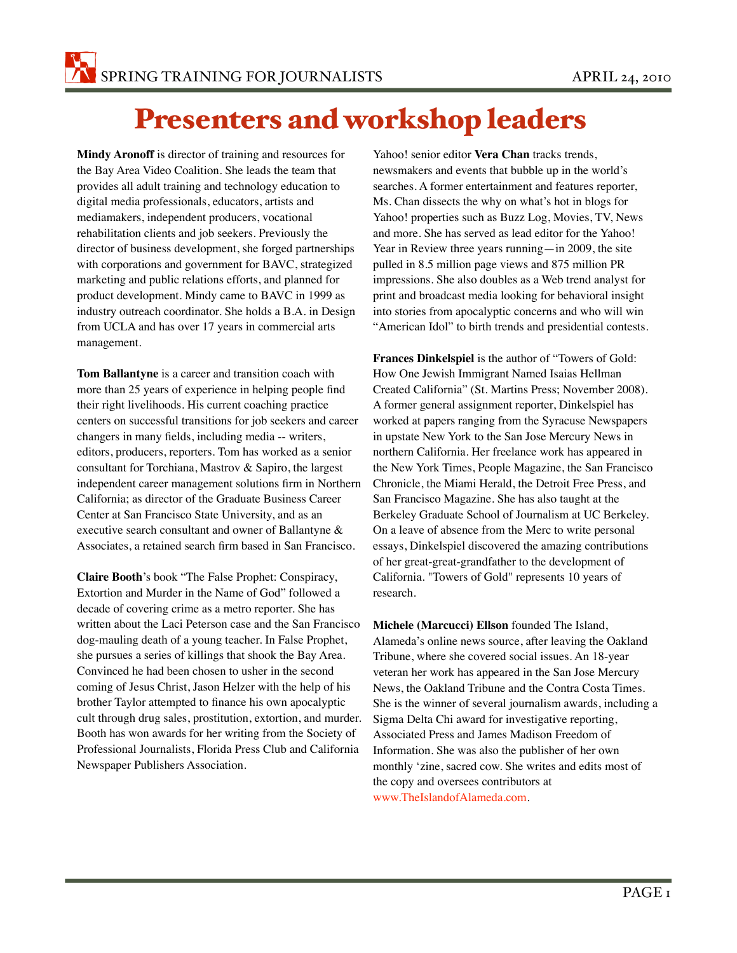## Presenters and workshop leaders

**Mindy Aronoff** is director of training and resources for the Bay Area Video Coalition. She leads the team that provides all adult training and technology education to digital media professionals, educators, artists and mediamakers, independent producers, vocational rehabilitation clients and job seekers. Previously the director of business development, she forged partnerships with corporations and government for BAVC, strategized marketing and public relations efforts, and planned for product development. Mindy came to BAVC in 1999 as industry outreach coordinator. She holds a B.A. in Design from UCLA and has over 17 years in commercial arts management.

**Tom Ballantyne** is a career and transition coach with more than 25 years of experience in helping people find their right livelihoods. His current coaching practice centers on successful transitions for job seekers and career changers in many fields, including media -- writers, editors, producers, reporters. Tom has worked as a senior consultant for Torchiana, Mastrov & Sapiro, the largest independent career management solutions firm in Northern California; as director of the Graduate Business Career Center at San Francisco State University, and as an executive search consultant and owner of Ballantyne & Associates, a retained search firm based in San Francisco.

**Claire Booth**'s book "The False Prophet: Conspiracy, Extortion and Murder in the Name of God" followed a decade of covering crime as a metro reporter. She has written about the Laci Peterson case and the San Francisco dog-mauling death of a young teacher. In False Prophet, she pursues a series of killings that shook the Bay Area. Convinced he had been chosen to usher in the second coming of Jesus Christ, Jason Helzer with the help of his brother Taylor attempted to finance his own apocalyptic cult through drug sales, prostitution, extortion, and murder. Booth has won awards for her writing from the Society of Professional Journalists, Florida Press Club and California Newspaper Publishers Association.

Yahoo! senior editor **Vera Chan** tracks trends, newsmakers and events that bubble up in the world's searches. A former entertainment and features reporter, Ms. Chan dissects the why on what's hot in blogs for Yahoo! properties such as Buzz Log, Movies, TV, News and more. She has served as lead editor for the Yahoo! Year in Review three years running—in 2009, the site pulled in 8.5 million page views and 875 million PR impressions. She also doubles as a Web trend analyst for print and broadcast media looking for behavioral insight into stories from apocalyptic concerns and who will win "American Idol" to birth trends and presidential contests.

**Frances Dinkelspiel** is the author of "Towers of Gold: How One Jewish Immigrant Named Isaias Hellman Created California" (St. Martins Press; November 2008). A former general assignment reporter, Dinkelspiel has worked at papers ranging from the Syracuse Newspapers in upstate New York to the San Jose Mercury News in northern California. Her freelance work has appeared in the New York Times, People Magazine, the San Francisco Chronicle, the Miami Herald, the Detroit Free Press, and San Francisco Magazine. She has also taught at the Berkeley Graduate School of Journalism at UC Berkeley. On a leave of absence from the Merc to write personal essays, Dinkelspiel discovered the amazing contributions of her great-great-grandfather to the development of California. "Towers of Gold" represents 10 years of research.

**Michele (Marcucci) Ellson** founded The Island, Alameda's online news source, after leaving the Oakland Tribune, where she covered social issues. An 18-year veteran her work has appeared in the San Jose Mercury News, the Oakland Tribune and the Contra Costa Times. She is the winner of several journalism awards, including a Sigma Delta Chi award for investigative reporting, Associated Press and James Madison Freedom of Information. She was also the publisher of her own monthly 'zine, sacred cow. She writes and edits most of the copy and oversees contributors at www.TheIslandofAlameda.com.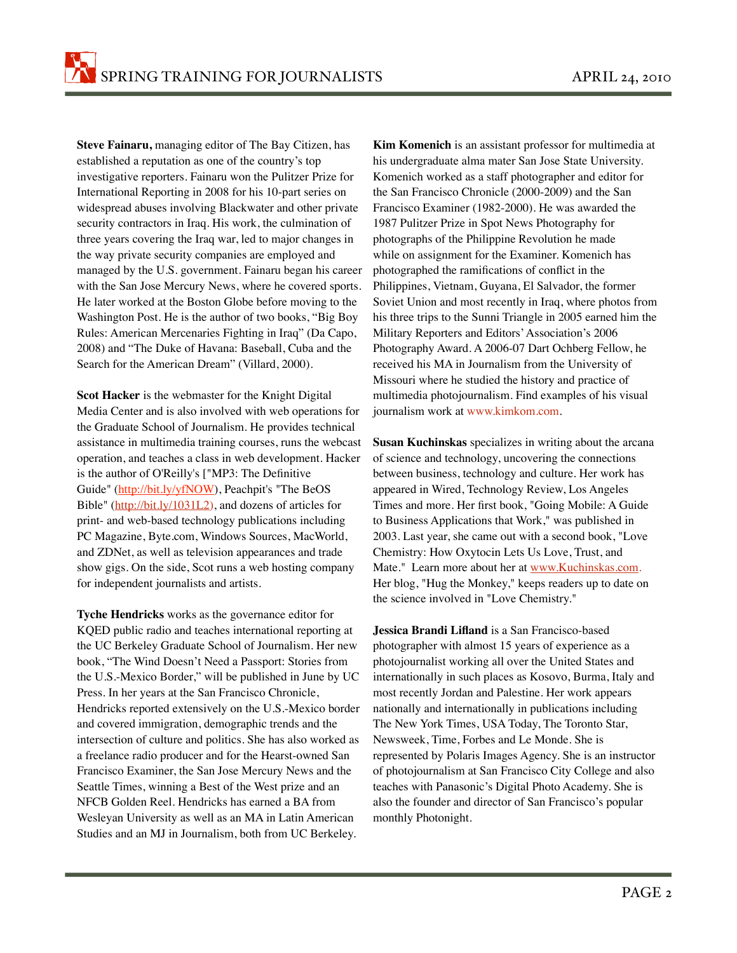**Steve Fainaru,** managing editor of The Bay Citizen, has established a reputation as one of the country's top investigative reporters. Fainaru won the Pulitzer Prize for International Reporting in 2008 for his 10-part series on widespread abuses involving Blackwater and other private security contractors in Iraq. His work, the culmination of three years covering the Iraq war, led to major changes in the way private security companies are employed and managed by the U.S. government. Fainaru began his career with the San Jose Mercury News, where he covered sports. He later worked at the Boston Globe before moving to the Washington Post. He is the author of two books, "Big Boy Rules: American Mercenaries Fighting in Iraq" (Da Capo, 2008) and "The Duke of Havana: Baseball, Cuba and the Search for the American Dream" (Villard, 2000).

**Scot Hacker** is the webmaster for the Knight Digital Media Center and is also involved with web operations for the Graduate School of Journalism. He provides technical assistance in multimedia training courses, runs the webcast operation, and teaches a class in web development. Hacker is the author of O'Reilly's ["MP3: The Definitive Guide" [\(http://bit.ly/yfNOW\)](http://bit.ly/yfNOW), Peachpit's "The BeOS Bible" [\(http://bit.ly/1031L2\)](http://bit.ly/1031L2), and dozens of articles for print- and web-based technology publications including PC Magazine, Byte.com, Windows Sources, MacWorld, and ZDNet, as well as television appearances and trade show gigs. On the side, Scot runs a web hosting company for independent journalists and artists.

**Tyche Hendricks** works as the governance editor for KQED public radio and teaches international reporting at the UC Berkeley Graduate School of Journalism. Her new book, "The Wind Doesn't Need a Passport: Stories from the U.S.-Mexico Border," will be published in June by UC Press. In her years at the San Francisco Chronicle, Hendricks reported extensively on the U.S.-Mexico border and covered immigration, demographic trends and the intersection of culture and politics. She has also worked as a freelance radio producer and for the Hearst-owned San Francisco Examiner, the San Jose Mercury News and the Seattle Times, winning a Best of the West prize and an NFCB Golden Reel. Hendricks has earned a BA from Wesleyan University as well as an MA in Latin American Studies and an MJ in Journalism, both from UC Berkeley.

**Kim Komenich** is an assistant professor for multimedia at his undergraduate alma mater San Jose State University. Komenich worked as a staff photographer and editor for the San Francisco Chronicle (2000-2009) and the San Francisco Examiner (1982-2000). He was awarded the 1987 Pulitzer Prize in Spot News Photography for photographs of the Philippine Revolution he made while on assignment for the Examiner. Komenich has photographed the ramifications of conflict in the Philippines, Vietnam, Guyana, El Salvador, the former Soviet Union and most recently in Iraq, where photos from his three trips to the Sunni Triangle in 2005 earned him the Military Reporters and Editors' Association's 2006 Photography Award. A 2006-07 Dart Ochberg Fellow, he received his MA in Journalism from the University of Missouri where he studied the history and practice of multimedia photojournalism. Find examples of his visual journalism work at www.kimkom.com.

**Susan Kuchinskas** specializes in writing about the arcana of science and technology, uncovering the connections between business, technology and culture. Her work has appeared in Wired, Technology Review, Los Angeles Times and more. Her first book, "Going Mobile: A Guide to Business Applications that Work," was published in 2003. Last year, she came out with a second book, "Love Chemistry: How Oxytocin Lets Us Love, Trust, and Mate." Learn more about her at [www.Kuchinskas.com.](http://www.Kuchinskas.com) Her blog, "Hug the Monkey," keeps readers up to date on the science involved in "Love Chemistry."

**Jessica Brandi Lifland** is a San Francisco-based photographer with almost 15 years of experience as a photojournalist working all over the United States and internationally in such places as Kosovo, Burma, Italy and most recently Jordan and Palestine. Her work appears nationally and internationally in publications including The New York Times, USA Today, The Toronto Star, Newsweek, Time, Forbes and Le Monde. She is represented by Polaris Images Agency. She is an instructor of photojournalism at San Francisco City College and also teaches with Panasonic's Digital Photo Academy. She is also the founder and director of San Francisco's popular monthly Photonight.